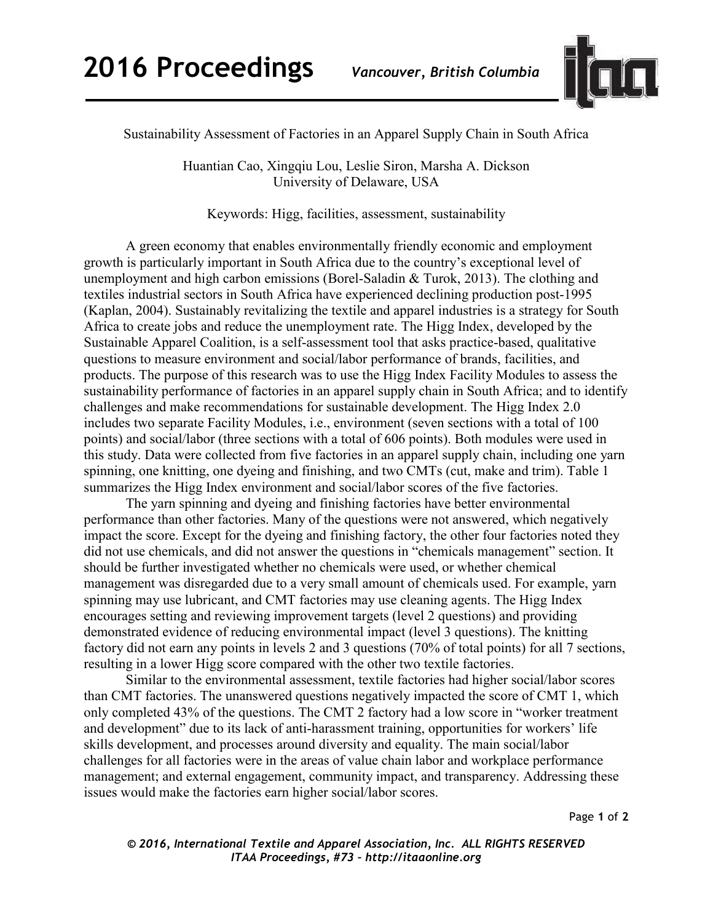

Sustainability Assessment of Factories in an Apparel Supply Chain in South Africa

Huantian Cao, Xingqiu Lou, Leslie Siron, Marsha A. Dickson University of Delaware, USA

Keywords: Higg, facilities, assessment, sustainability

A green economy that enables environmentally friendly economic and employment growth is particularly important in South Africa due to the country's exceptional level of unemployment and high carbon emissions (Borel-Saladin & Turok, 2013). The clothing and textiles industrial sectors in South Africa have experienced declining production post-1995 (Kaplan, 2004). Sustainably revitalizing the textile and apparel industries is a strategy for South Africa to create jobs and reduce the unemployment rate. The Higg Index, developed by the Sustainable Apparel Coalition, is a self-assessment tool that asks practice-based, qualitative questions to measure environment and social/labor performance of brands, facilities, and products. The purpose of this research was to use the Higg Index Facility Modules to assess the sustainability performance of factories in an apparel supply chain in South Africa; and to identify challenges and make recommendations for sustainable development. The Higg Index 2.0 includes two separate Facility Modules, i.e., environment (seven sections with a total of 100 points) and social/labor (three sections with a total of 606 points). Both modules were used in this study. Data were collected from five factories in an apparel supply chain, including one yarn spinning, one knitting, one dyeing and finishing, and two CMTs (cut, make and trim). Table 1 summarizes the Higg Index environment and social/labor scores of the five factories.

The yarn spinning and dyeing and finishing factories have better environmental performance than other factories. Many of the questions were not answered, which negatively impact the score. Except for the dyeing and finishing factory, the other four factories noted they did not use chemicals, and did not answer the questions in "chemicals management" section. It should be further investigated whether no chemicals were used, or whether chemical management was disregarded due to a very small amount of chemicals used. For example, yarn spinning may use lubricant, and CMT factories may use cleaning agents. The Higg Index encourages setting and reviewing improvement targets (level 2 questions) and providing demonstrated evidence of reducing environmental impact (level 3 questions). The knitting factory did not earn any points in levels 2 and 3 questions (70% of total points) for all 7 sections, resulting in a lower Higg score compared with the other two textile factories.

Similar to the environmental assessment, textile factories had higher social/labor scores than CMT factories. The unanswered questions negatively impacted the score of CMT 1, which only completed 43% of the questions. The CMT 2 factory had a low score in "worker treatment and development" due to its lack of anti-harassment training, opportunities for workers' life skills development, and processes around diversity and equality. The main social/labor challenges for all factories were in the areas of value chain labor and workplace performance management; and external engagement, community impact, and transparency. Addressing these issues would make the factories earn higher social/labor scores.

Page **1** of **2** 

*© 2016, International Textile and Apparel Association, Inc. ALL RIGHTS RESERVED ITAA Proceedings, #73 – http://itaaonline.org*